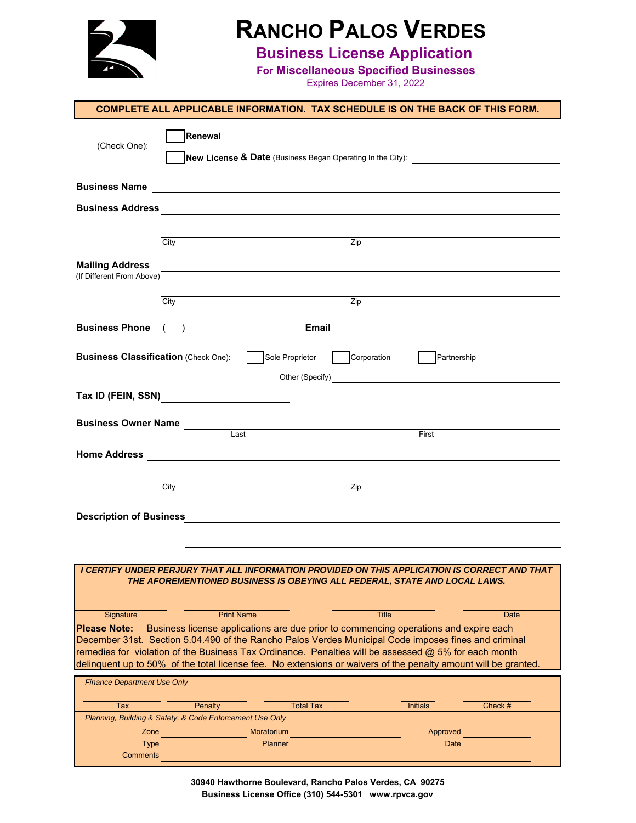

# **RANCHO PALOS VERDES**

### **Business License Application**

**For Miscellaneous Specified Businesses**

Expires December 31, 2022

|                                                     | <b>COMPLETE ALL APPLICABLE INFORMATION. TAX SCHEDULE IS ON THE BACK OF THIS FORM.</b>                                                                                                                                                |
|-----------------------------------------------------|--------------------------------------------------------------------------------------------------------------------------------------------------------------------------------------------------------------------------------------|
| (Check One):                                        | Renewal                                                                                                                                                                                                                              |
|                                                     | New License & Date (Business Began Operating In the City):                                                                                                                                                                           |
|                                                     | Business Name <b>contract the contract of the contract of the contract of the contract of the contract of the contract of the contract of the contract of the contract of the contract of the contract of the contract of the co</b> |
|                                                     |                                                                                                                                                                                                                                      |
|                                                     |                                                                                                                                                                                                                                      |
|                                                     | City<br>$\overline{Zip}$                                                                                                                                                                                                             |
| <b>Mailing Address</b><br>(If Different From Above) |                                                                                                                                                                                                                                      |
|                                                     | Zip<br>City                                                                                                                                                                                                                          |
|                                                     |                                                                                                                                                                                                                                      |
|                                                     | Business Phone ( )                                                                                                                                                                                                                   |
| <b>Business Classification (Check One):</b>         | Sole Proprietor<br>Corporation<br>Partnership                                                                                                                                                                                        |
|                                                     |                                                                                                                                                                                                                                      |
|                                                     |                                                                                                                                                                                                                                      |
|                                                     | Business Owner Name <b>Construction</b> Construction Construction Construction Construction Construction Construction<br>Last<br>First                                                                                               |
|                                                     |                                                                                                                                                                                                                                      |
|                                                     |                                                                                                                                                                                                                                      |
|                                                     | Zip<br>City                                                                                                                                                                                                                          |
|                                                     |                                                                                                                                                                                                                                      |
|                                                     |                                                                                                                                                                                                                                      |
|                                                     |                                                                                                                                                                                                                                      |
|                                                     | I CERTIFY UNDER PERJURY THAT ALL INFORMATION PROVIDED ON THIS APPLICATION IS CORRECT AND THAT<br>THE AFOREMENTIONED BUSINESS IS OBEYING ALL FEDERAL, STATE AND LOCAL LAWS.                                                           |
|                                                     | <b>Print Name</b><br><b>Title</b><br><b>Date</b>                                                                                                                                                                                     |
| Signature<br><b>Please Note:</b>                    | Business license applications are due prior to commencing operations and expire each                                                                                                                                                 |
|                                                     | December 31st. Section 5.04.490 of the Rancho Palos Verdes Municipal Code imposes fines and criminal<br>remedies for violation of the Business Tax Ordinance. Penalties will be assessed @ 5% for each month                         |
|                                                     | delinquent up to 50% of the total license fee. No extensions or waivers of the penalty amount will be granted.                                                                                                                       |
| <b>Finance Department Use Only</b>                  |                                                                                                                                                                                                                                      |
| Tax                                                 | <b>Total Tax</b><br>Penalty<br><b>Initials</b><br>Check #                                                                                                                                                                            |
| Zone                                                | Planning, Building & Safety, & Code Enforcement Use Only<br>Moratorium<br>Approved                                                                                                                                                   |
| <b>Type</b>                                         | <b>Planner</b><br>Date                                                                                                                                                                                                               |
| <b>Comments</b>                                     |                                                                                                                                                                                                                                      |